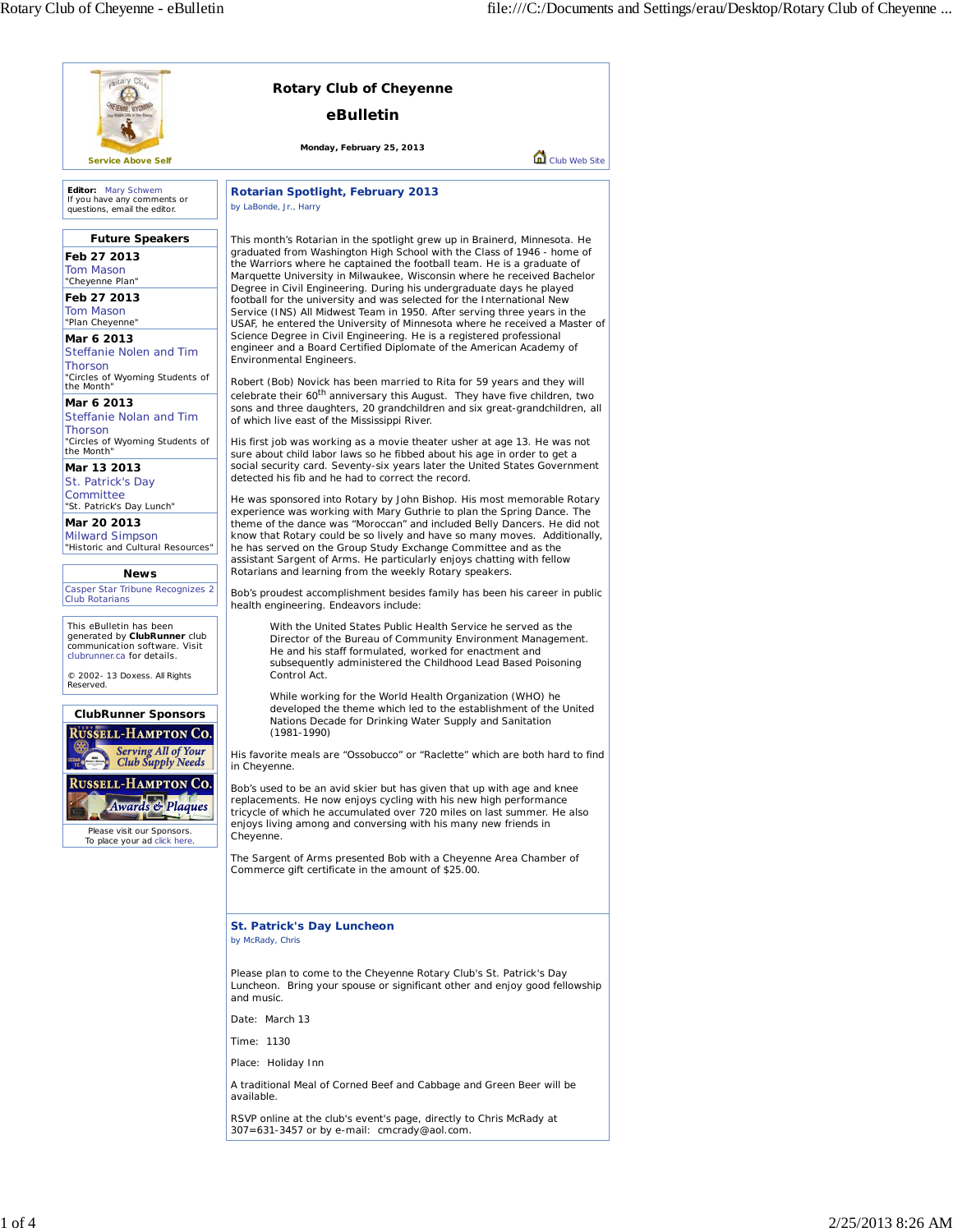| aptary Clus<br><b>Rotary Club of Cheyenne</b>                                                                                                           |                                                                                                                                                                                                                                                                                                                                                                                                                                                                                                                                                                                                                      |  |
|---------------------------------------------------------------------------------------------------------------------------------------------------------|----------------------------------------------------------------------------------------------------------------------------------------------------------------------------------------------------------------------------------------------------------------------------------------------------------------------------------------------------------------------------------------------------------------------------------------------------------------------------------------------------------------------------------------------------------------------------------------------------------------------|--|
|                                                                                                                                                         | eBulletin                                                                                                                                                                                                                                                                                                                                                                                                                                                                                                                                                                                                            |  |
|                                                                                                                                                         | Monday, February 25, 2013<br>Club Web Site                                                                                                                                                                                                                                                                                                                                                                                                                                                                                                                                                                           |  |
| <b>Service Above Self</b>                                                                                                                               |                                                                                                                                                                                                                                                                                                                                                                                                                                                                                                                                                                                                                      |  |
| Editor: Mary Schwem<br>If you have any comments or<br>questions, email the editor.                                                                      | <b>Rotarian Spotlight, February 2013</b><br>by LaBonde, Jr., Harry                                                                                                                                                                                                                                                                                                                                                                                                                                                                                                                                                   |  |
| <b>Future Speakers</b><br>Feb 27 2013<br>Tom Mason<br>"Cheyenne Plan"<br>Feb 27 2013<br>Tom Mason<br>"Plan Cheyenne"                                    | This month's Rotarian in the spotlight grew up in Brainerd, Minnesota. He<br>graduated from Washington High School with the Class of 1946 - home of<br>the Warriors where he captained the football team. He is a graduate of<br>Marquette University in Milwaukee, Wisconsin where he received Bachelor<br>Degree in Civil Engineering. During his undergraduate days he played<br>football for the university and was selected for the International New<br>Service (INS) All Midwest Team in 1950. After serving three years in the<br>USAF, he entered the University of Minnesota where he received a Master of |  |
| Mar 6 2013<br>Steffanie Nolen and Tim<br>Thorson                                                                                                        | Science Degree in Civil Engineering. He is a registered professional<br>engineer and a Board Certified Diplomate of the American Academy of<br>Environmental Engineers.                                                                                                                                                                                                                                                                                                                                                                                                                                              |  |
| "Circles of Wyoming Students of<br>the Month"<br>Mar 6 2013<br>Steffanie Nolan and Tim                                                                  | Robert (Bob) Novick has been married to Rita for 59 years and they will<br>celebrate their 60 <sup>th</sup> anniversary this August. They have five children, two<br>sons and three daughters, 20 grandchildren and six great-grandchildren, all                                                                                                                                                                                                                                                                                                                                                                     |  |
| Thorson<br>"Circles of Wyoming Students of<br>the Month"<br>Mar 13 2013                                                                                 | of which live east of the Mississippi River.<br>His first job was working as a movie theater usher at age 13. He was not<br>sure about child labor laws so he fibbed about his age in order to get a<br>social security card. Seventy-six years later the United States Government<br>detected his fib and he had to correct the record.                                                                                                                                                                                                                                                                             |  |
| St. Patrick's Day<br>Committee<br>"St. Patrick's Day Lunch"<br>Mar 20 2013<br><b>Milward Simpson</b><br>"Historic and Cultural Resources"               | He was sponsored into Rotary by John Bishop. His most memorable Rotary<br>experience was working with Mary Guthrie to plan the Spring Dance. The<br>theme of the dance was "Moroccan" and included Belly Dancers. He did not<br>know that Rotary could be so lively and have so many moves. Additionally,<br>he has served on the Group Study Exchange Committee and as the<br>assistant Sargent of Arms. He particularly enjoys chatting with fellow                                                                                                                                                                |  |
| <b>News</b><br>Casper Star Tribune Recognizes 2<br><b>Club Rotarians</b>                                                                                | Rotarians and learning from the weekly Rotary speakers.<br>Bob's proudest accomplishment besides family has been his career in public<br>health engineering. Endeavors include:                                                                                                                                                                                                                                                                                                                                                                                                                                      |  |
| This eBulletin has been<br>generated by ClubRunner club<br>communication software. Visit<br>clubrunner.ca for details.<br>© 2002- 13 Doxess. All Rights | With the United States Public Health Service he served as the<br>Director of the Bureau of Community Environment Management.<br>He and his staff formulated, worked for enactment and<br>subsequently administered the Childhood Lead Based Poisoning<br>Control Act.                                                                                                                                                                                                                                                                                                                                                |  |
| Reserved.<br><b>ClubRunner Sponsors</b><br><b>RUSSELL-HAMPTON CO.</b>                                                                                   | While working for the World Health Organization (WHO) he<br>developed the theme which led to the establishment of the United<br>Nations Decade for Drinking Water Supply and Sanitation<br>$(1981 - 1990)$                                                                                                                                                                                                                                                                                                                                                                                                           |  |
| <b>Serving All of Your</b><br><b>Club Supply Needs</b>                                                                                                  | His favorite meals are "Ossobucco" or "Raclette" which are both hard to find<br>in Cheyenne.                                                                                                                                                                                                                                                                                                                                                                                                                                                                                                                         |  |
| Russell-Hampton Co.<br><b>Awards &amp; Plaques</b><br>Please visit our Sponsors.<br>To place your ad click here.                                        | Bob's used to be an avid skier but has given that up with age and knee<br>replacements. He now enjoys cycling with his new high performance<br>tricycle of which he accumulated over 720 miles on last summer. He also<br>enjoys living among and conversing with his many new friends in<br>Cheyenne.                                                                                                                                                                                                                                                                                                               |  |
|                                                                                                                                                         | The Sargent of Arms presented Bob with a Cheyenne Area Chamber of<br>Commerce gift certificate in the amount of \$25.00.                                                                                                                                                                                                                                                                                                                                                                                                                                                                                             |  |
|                                                                                                                                                         | <b>St. Patrick's Day Luncheon</b><br>by McRady, Chris                                                                                                                                                                                                                                                                                                                                                                                                                                                                                                                                                                |  |
|                                                                                                                                                         | Please plan to come to the Cheyenne Rotary Club's St. Patrick's Day<br>Luncheon. Bring your spouse or significant other and enjoy good fellowship<br>and music.                                                                                                                                                                                                                                                                                                                                                                                                                                                      |  |
|                                                                                                                                                         | Date: March 13                                                                                                                                                                                                                                                                                                                                                                                                                                                                                                                                                                                                       |  |
|                                                                                                                                                         | Time: 1130                                                                                                                                                                                                                                                                                                                                                                                                                                                                                                                                                                                                           |  |
|                                                                                                                                                         | Place: Holiday Inn                                                                                                                                                                                                                                                                                                                                                                                                                                                                                                                                                                                                   |  |
|                                                                                                                                                         | A traditional Meal of Corned Beef and Cabbage and Green Beer will be<br>available.                                                                                                                                                                                                                                                                                                                                                                                                                                                                                                                                   |  |
|                                                                                                                                                         | RSVP online at the club's event's page, directly to Chris McRady at<br>307=631-3457 or by e-mail: cmcrady@aol.com.                                                                                                                                                                                                                                                                                                                                                                                                                                                                                                   |  |
|                                                                                                                                                         |                                                                                                                                                                                                                                                                                                                                                                                                                                                                                                                                                                                                                      |  |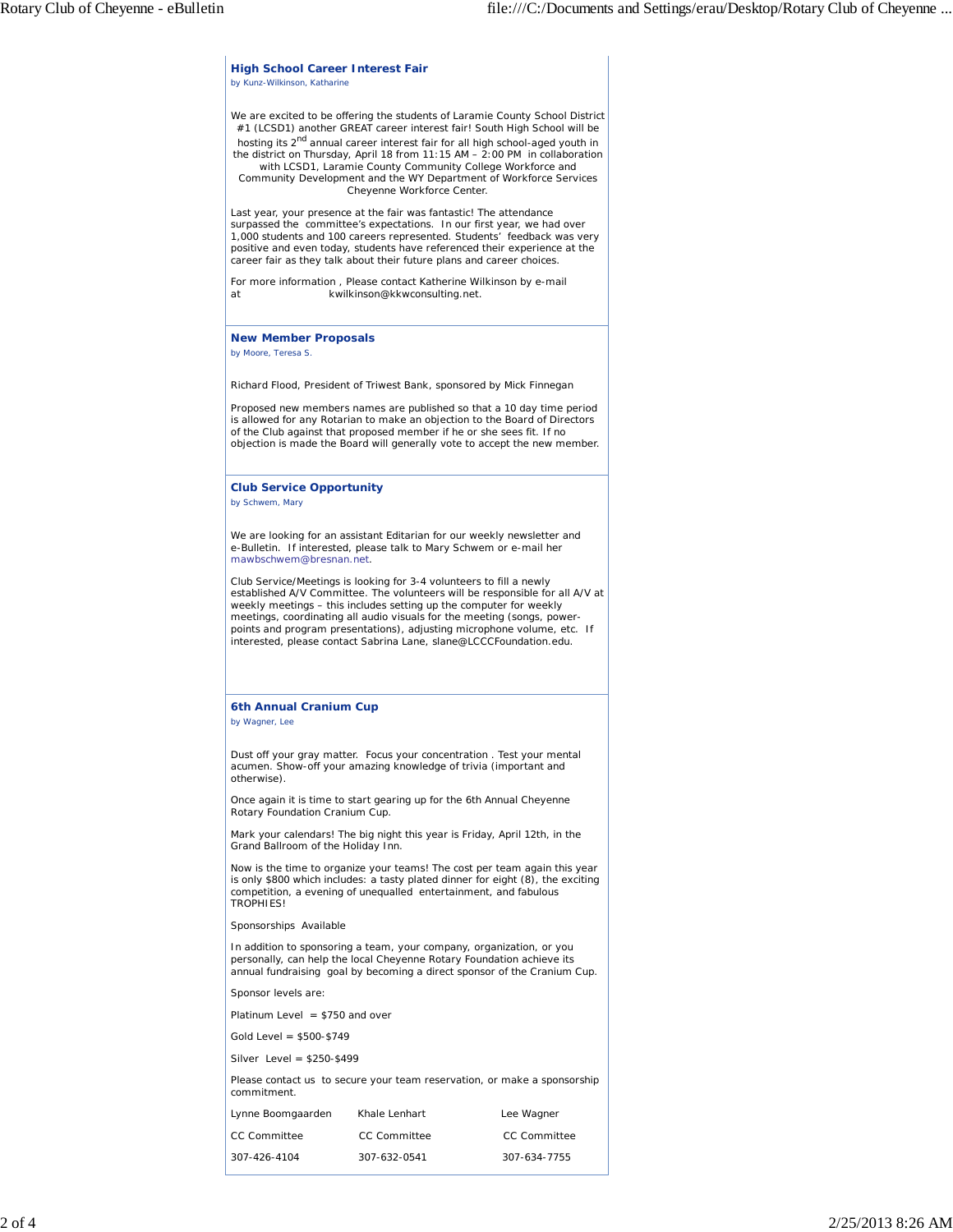**High School Career Interest Fair** *by Kunz-Wilkinson, Katharine* We are excited to be offering the students of Laramie County School District #1 (LCSD1) another GREAT career interest fair! South High School will be hosting its 2nd annual career interest fair for all high school-aged youth in the district on Thursday, April 18 from 11:15 AM – 2:00 PM in collaboration with LCSD1, Laramie County Community College Workforce and Community Development and the WY Department of Workforce Services Cheyenne Workforce Center. Last year, your presence at the fair was fantastic! The attendance surpassed the committee's expectations. In our first year, we had over 1,000 students and 100 careers represented. Students' feedback was very positive and even today, students have referenced their experience at the career fair as they talk about their future plans and career choices. For more information , Please contact Katherine Wilkinson by e-mail at kwilkinson@kkwconsulting.net. **New Member Proposals** *by Moore, Teresa S.* Richard Flood, President of Triwest Bank, sponsored by Mick Finnegan Proposed new members names are published so that a 10 day time period is allowed for any Rotarian to make an objection to the Board of Directors of the Club against that proposed member if he or she sees fit. If no objection is made the Board will generally vote to accept the new member. **Club Service Opportunity** *by Schwem, Mary* We are looking for an assistant Editarian for our weekly newsletter and e-Bulletin. If interested, please talk to Mary Schwem or e-mail her mawbschwem@bresnan.net. Club Service/Meetings is looking for 3-4 volunteers to fill a newly established A/V Committee. The volunteers will be responsible for all A/V at weekly meetings – this includes setting up the computer for weekly meetings, coordinating all audio visuals for the meeting (songs, powerpoints and program presentations), adjusting microphone volume, etc. If interested, please contact Sabrina Lane, slane@LCCCFoundation.edu. **6th Annual Cranium Cup** *by Wagner, Lee* Dust off your gray matter. Focus your concentration . Test your mental acumen. Show-off your amazing knowledge of trivia (important and otherwise). Once again it is time to start gearing up for the 6th Annual Cheyenne Rotary Foundation Cranium Cup. Mark your calendars! The big night this year is Friday, April 12th, in the Grand Ballroom of the Holiday Inn. Now is the time to organize your teams! The cost per team again this year is only \$800 which includes: a tasty plated dinner for eight (8), the exciting competition, a evening of unequalled entertainment, and fabulous TROPHIES! Sponsorships Available In addition to sponsoring a team, your company, organization, or you personally, can help the local Cheyenne Rotary Foundation achieve its annual fundraising goal by becoming a direct sponsor of the Cranium Cup. Sponsor levels are: Platinum Level  $= $750$  and over Gold Level = \$500-\$749 Silver Level = \$250-\$499 Please contact us to secure your team reservation, or make a sponsorship commitment. Lynne Boomgaarden Khale Lenhart Lee Wagner CC Committee CC Committee CC Committee 307-426-4104 307-632-0541 307-634-7755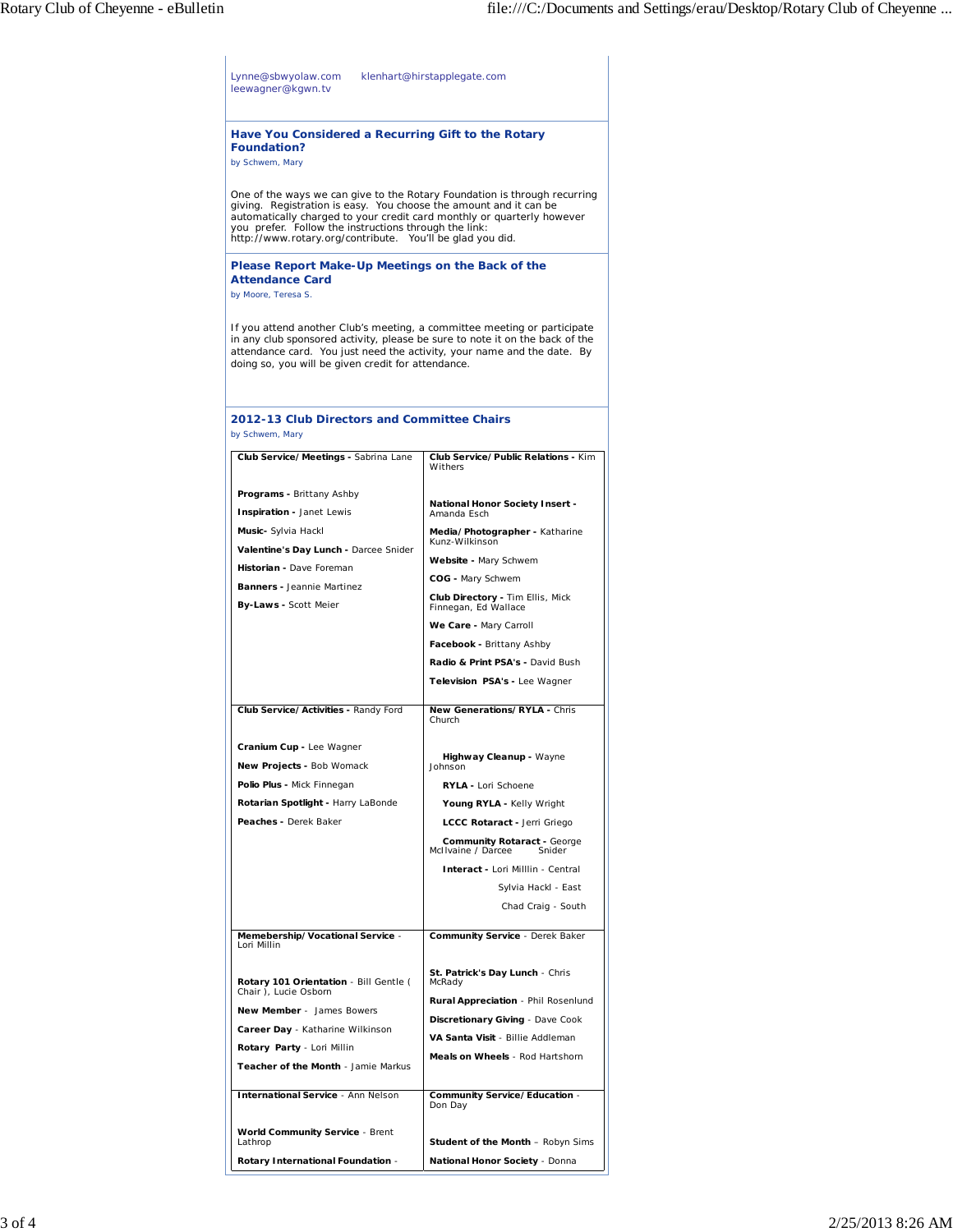